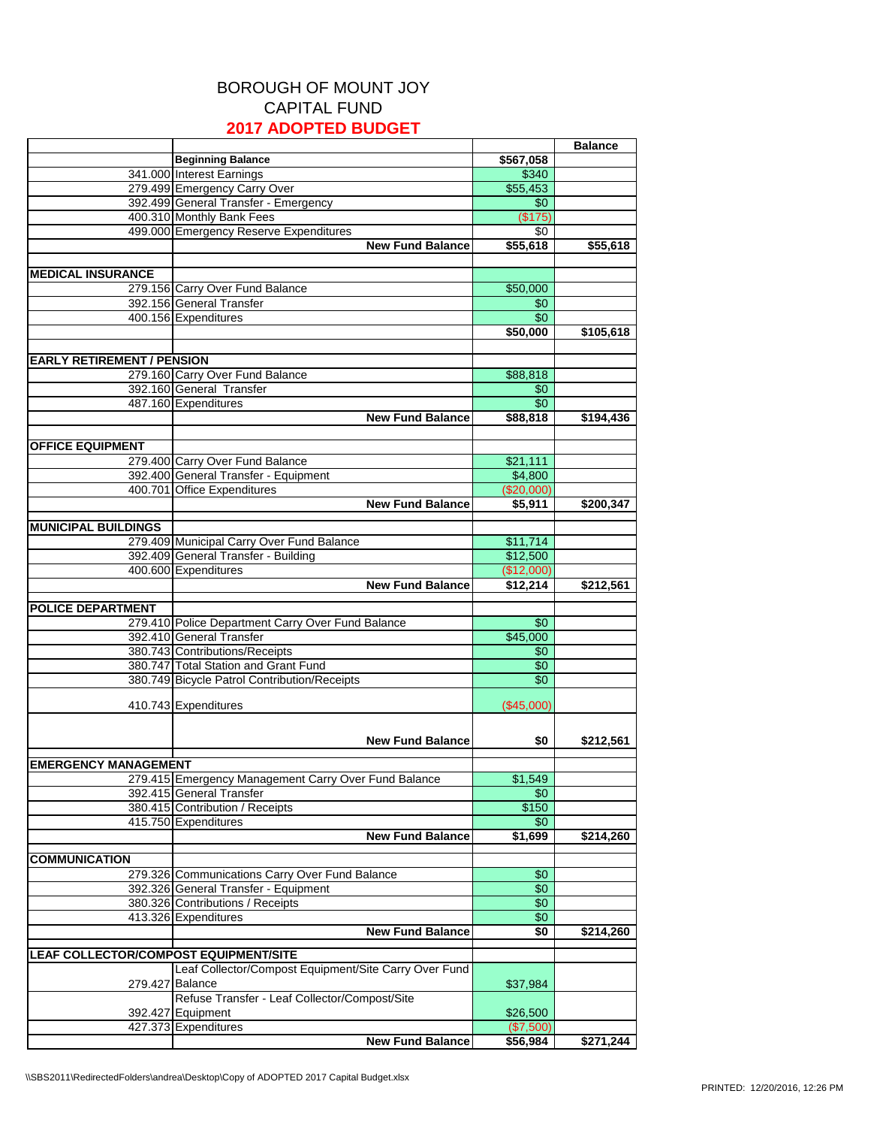## BOROUGH OF MOUNT JOY CAPITAL FUND **2017 ADOPTED BUDGET**

|                                       |                                                       |            | <b>Balance</b> |
|---------------------------------------|-------------------------------------------------------|------------|----------------|
|                                       | <b>Beginning Balance</b>                              | \$567,058  |                |
|                                       | 341.000 Interest Earnings                             | \$340      |                |
|                                       |                                                       |            |                |
|                                       | 279.499 Emergency Carry Over                          | \$55,453   |                |
|                                       | 392.499 General Transfer - Emergency                  | \$0        |                |
|                                       | 400.310 Monthly Bank Fees                             | (S175)     |                |
|                                       | 499.000 Emergency Reserve Expenditures                | \$0        |                |
|                                       | <b>New Fund Balance</b>                               | \$55,618   | \$55,618       |
|                                       |                                                       |            |                |
| <b>MEDICAL INSURANCE</b>              |                                                       |            |                |
|                                       | 279.156 Carry Over Fund Balance                       | \$50,000   |                |
|                                       | 392.156 General Transfer                              | \$0        |                |
|                                       | 400.156 Expenditures                                  | \$0        |                |
|                                       |                                                       | \$50,000   | \$105,618      |
|                                       |                                                       |            |                |
| <b>EARLY RETIREMENT / PENSION</b>     |                                                       |            |                |
|                                       | 279.160 Carry Over Fund Balance                       | \$88,818   |                |
|                                       | 392.160 General Transfer                              | \$0        |                |
|                                       | 487.160 Expenditures                                  | \$0        |                |
|                                       | <b>New Fund Balance</b>                               | \$88,818   | \$194,436      |
|                                       |                                                       |            |                |
|                                       |                                                       |            |                |
| <b>OFFICE EQUIPMENT</b>               |                                                       |            |                |
|                                       | 279.400 Carry Over Fund Balance                       | \$21,111   |                |
|                                       | 392.400 General Transfer - Equipment                  | \$4,800    |                |
|                                       | 400.701 Office Expenditures                           | (\$20,000) |                |
|                                       | <b>New Fund Balance</b>                               | \$5,911    | \$200,347      |
|                                       |                                                       |            |                |
| <b>MUNICIPAL BUILDINGS</b>            |                                                       |            |                |
|                                       | 279.409 Municipal Carry Over Fund Balance             | \$11,714   |                |
|                                       | 392.409 General Transfer - Building                   | \$12,500   |                |
|                                       | 400.600 Expenditures                                  | (\$12,000) |                |
|                                       | <b>New Fund Balance</b>                               | \$12,214   | \$212,561      |
|                                       |                                                       |            |                |
| <b>POLICE DEPARTMENT</b>              |                                                       |            |                |
|                                       | 279.410 Police Department Carry Over Fund Balance     | \$0        |                |
|                                       | 392.410 General Transfer                              | \$45,000   |                |
|                                       | 380.743 Contributions/Receipts                        | \$0        |                |
|                                       | 380.747 Total Station and Grant Fund                  | \$0        |                |
|                                       | 380.749 Bicycle Patrol Contribution/Receipts          | \$0        |                |
|                                       |                                                       |            |                |
|                                       | 410.743 Expenditures                                  | (\$45,000) |                |
|                                       |                                                       |            |                |
|                                       | <b>New Fund Balance</b>                               | \$0        | \$212.561      |
|                                       |                                                       |            |                |
| <b>EMERGENCY MANAGEMENT</b>           |                                                       |            |                |
|                                       | 279.415 Emergency Management Carry Over Fund Balance  | \$1,549    |                |
|                                       | 392.415 General Transfer                              | \$0        |                |
|                                       | 380.415 Contribution / Receipts                       | \$150      |                |
|                                       | 415.750 Expenditures                                  | \$0        |                |
|                                       | <b>New Fund Balance</b>                               | \$1,699    | \$214,260      |
|                                       |                                                       |            |                |
| <b>COMMUNICATION</b>                  |                                                       |            |                |
|                                       | 279.326 Communications Carry Over Fund Balance        | \$0        |                |
|                                       | 392.326 General Transfer - Equipment                  | \$0        |                |
|                                       | 380.326 Contributions / Receipts                      | \$0        |                |
|                                       |                                                       | \$0        |                |
|                                       | 413.326 Expenditures                                  |            |                |
|                                       | <b>New Fund Balance</b>                               | \$0        | \$214,260      |
| LEAF COLLECTOR/COMPOST EQUIPMENT/SITE |                                                       |            |                |
|                                       | Leaf Collector/Compost Equipment/Site Carry Over Fund |            |                |
|                                       | 279.427 Balance                                       |            |                |
|                                       |                                                       | \$37,984   |                |
|                                       | Refuse Transfer - Leaf Collector/Compost/Site         |            |                |
|                                       | 392.427 Equipment                                     | \$26,500   |                |
|                                       | 427.373 Expenditures                                  | (\$7,500)  |                |
|                                       | <b>New Fund Balance</b>                               | \$56,984   | \$271,244      |